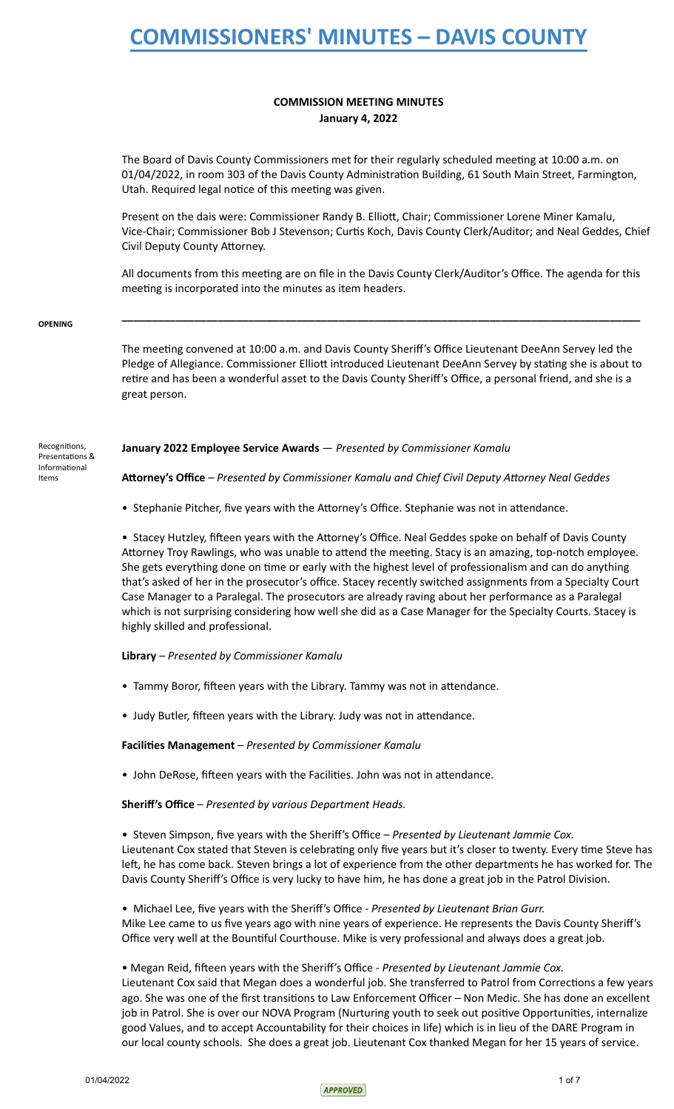## **COMMISSION MEETING MINUTES January 4, 2022**

The Board of Davis County Commissioners met for their regularly scheduled meeting at 10:00 a.m. on 01/04/2022, in room 303 of the Davis County Administration Building, 61 South Main Street, Farmington, Utah. Required legal notice of this meeting was given.

Present on the dais were: Commissioner Randy B. Elliott, Chair; Commissioner Lorene Miner Kamalu, Vice-Chair; Commissioner Bob J Stevenson; Curtis Koch, Davis County Clerk/Auditor; and Neal Geddes, Chief Civil Deputy County Attorney.

All documents from this meeting are on file in the Davis County Clerk/Auditor's Office. The agenda for this meeting is incorporated into the minutes as item headers.

**\_\_\_\_\_\_\_\_\_\_\_\_\_\_\_\_\_\_\_\_\_\_\_\_\_\_\_\_\_\_\_\_\_\_\_\_\_\_\_\_\_\_\_\_\_\_\_\_\_\_\_\_\_\_\_\_\_\_\_\_\_\_\_\_\_\_\_\_\_\_\_\_\_\_\_\_\_\_\_\_\_\_\_\_\_\_** 

 **OPENING** 

The meeting convened at 10:00 a.m. and Davis County Sheriff's Office Lieutenant DeeAnn Servey led the Pledge of Allegiance. Commissioner Elliott introduced Lieutenant DeeAnn Servey by stating she is about to retire and has been a wonderful asset to the Davis County Sheriff's Office, a personal friend, and she is a great person.

Recognitions, Presentations & Informational Items

 **January 2022 Employee Service Awards** — *Presented by Commissioner Kamalu* 

Attorney's Office - Presented by Commissioner Kamalu and Chief Civil Deputy Attorney Neal Geddes

• Stephanie Pitcher, five years with the Attorney's Office. Stephanie was not in attendance.

• Stacey Hutzley, fifteen years with the Attorney's Office. Neal Geddes spoke on behalf of Davis County Attorney Troy Rawlings, who was unable to attend the meeting. Stacy is an amazing, top-notch employee. She gets everything done on time or early with the highest level of professionalism and can do anything that's asked of her in the prosecutor's office. Stacey recently switched assignments from a Specialty Court Case Manager to a Paralegal. The prosecutors are already raving about her performance as a Paralegal which is not surprising considering how well she did as a Case Manager for the Specialty Courts. Stacey is highly skilled and professional.

### **Library** *– Presented by Commissioner Kamalu*

- Tammy Boror, fifteen years with the Library. Tammy was not in attendance.
- Judy Butler, fifteen years with the Library. Judy was not in attendance.

Facilities Management - Presented by Commissioner Kamalu

• John DeRose, fifteen years with the Facilities. John was not in attendance.

 **Sheriff's Office** – *Presented by various Department Heads.* 

 • Steven Simpson, five years with the Sheriff's Office – *Presented by Lieutenant Jammie Cox.* Lieutenant Cox stated that Steven is celebrating only five years but it's closer to twenty. Every time Steve has left, he has come back. Steven brings a lot of experience from the other departments he has worked for. The Davis County Sheriff's Office is very lucky to have him, he has done a great job in the Patrol Division.

 • Michael Lee, five years with the Sheriff's Office - *Presented by Lieutenant Brian Gurr.* Mike Lee came to us five years ago with nine years of experience. He represents the Davis County Sheriff's Office very well at the Bountiful Courthouse. Mike is very professional and always does a great job.

## • Megan Reid, fifteen years with the Sheriff's Office - Presented by Lieutenant Jammie Cox.

Lieutenant Cox said that Megan does a wonderful job. She transferred to Patrol from Corrections a few years ago. She was one of the first transitions to Law Enforcement Officer – Non Medic. She has done an excellent job in Patrol. She is over our NOVA Program (Nurturing youth to seek out positive Opportunities, internalize good Values, and to accept Accountability for their choices in life) which is in lieu of the DARE Program in our local county schools. She does a great job. Lieutenant Cox thanked Megan for her 15 years of service.

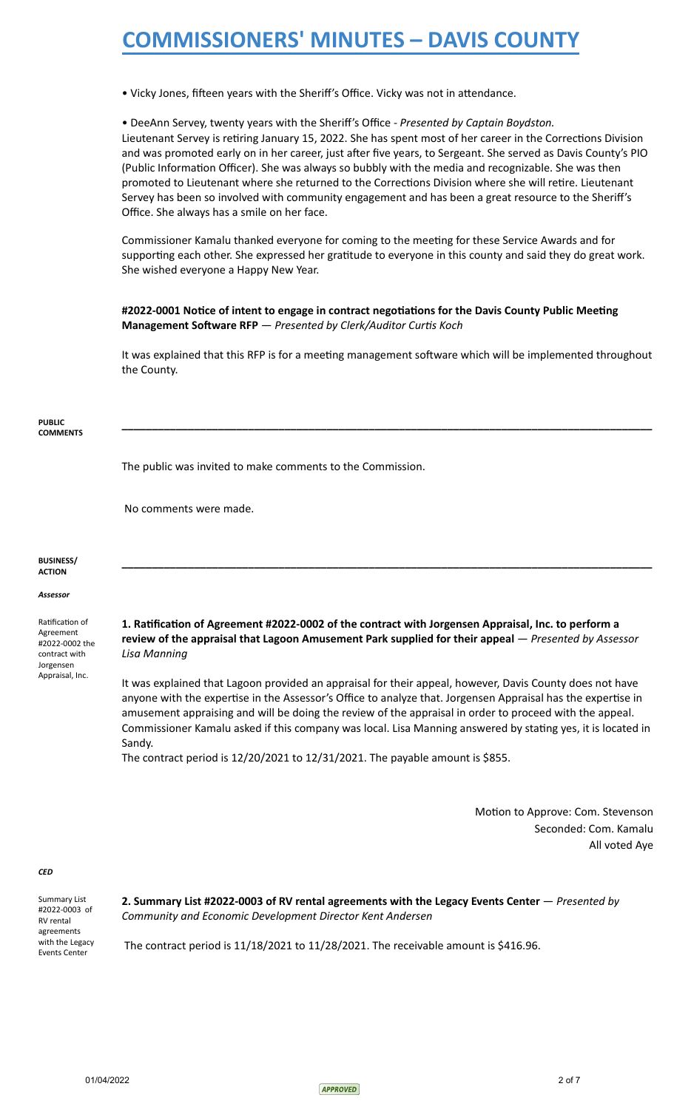• Vicky Jones, fifteen years with the Sheriff's Office. Vicky was not in attendance.

 • DeeAnn Servey, twenty years with the Sheriff's Office *- Presented by Captain Boydston.* Lieutenant Servey is retiring January 15, 2022. She has spent most of her career in the Corrections Division and was promoted early on in her career, just after five years, to Sergeant. She served as Davis County's PIO (Public Information Officer). She was always so bubbly with the media and recognizable. She was then promoted to Lieutenant where she returned to the Corrections Division where she will retire. Lieutenant Servey has been so involved with community engagement and has been a great resource to the Sheriff's Office. She always has a smile on her face.

Commissioner Kamalu thanked everyone for coming to the meeting for these Service Awards and for supporting each other. She expressed her gratitude to everyone in this county and said they do great work. She wished everyone a Happy New Year.

#2022-0001 Notice of intent to engage in contract negotiations for the Davis County Public Meeting **Management Software RFP** — *Presented by Clerk/Auditor Curtis Koch* 

It was explained that this RFP is for a meeting management software which will be implemented throughout the County.

**\_\_\_\_\_\_\_\_\_\_\_\_\_\_\_\_\_\_\_\_\_\_\_\_\_\_\_\_\_\_\_\_\_\_\_\_\_\_\_\_\_\_\_\_\_\_\_\_\_\_\_\_\_\_\_\_\_\_\_\_\_\_\_\_\_\_\_\_\_\_\_\_\_\_\_\_\_\_\_\_\_\_\_\_\_\_\_\_** 

 **PUBLIC COMMENTS** 

The public was invited to make comments to the Commission.

No comments were made.

#### **BUSINESS/ ACTION**

### *Assessor*

Ratification of Agreement #2022-0002 the contract with Jorgensen Appraisal, Inc.

1. Ratification of Agreement #2022-0002 of the contract with Jorgensen Appraisal, Inc. to perform a  **review of the appraisal that Lagoon Amusement Park supplied for their appeal** — *Presented by Assessor Lisa Manning*

**\_\_\_\_\_\_\_\_\_\_\_\_\_\_\_\_\_\_\_\_\_\_\_\_\_\_\_\_\_\_\_\_\_\_\_\_\_\_\_\_\_\_\_\_\_\_\_\_\_\_\_\_\_\_\_\_\_\_\_\_\_\_\_\_\_\_\_\_\_\_\_\_\_\_\_\_\_\_\_\_\_\_\_\_\_\_\_\_** 

 It was explained that Lagoon provided an appraisal for their appeal, however, Davis County does not have anyone with the expertise in the Assessor's Office to analyze that. Jorgensen Appraisal has the expertise in amusement appraising and will be doing the review of the appraisal in order to proceed with the appeal. Commissioner Kamalu asked if this company was local. Lisa Manning answered by stating yes, it is located in Sandy.

The contract period is 12/20/2021 to 12/31/2021. The payable amount is \$855.

Motion to Approve: Com. Stevenson Seconded: Com. Kamalu All voted Aye

### *CED*

 Summary List #2022-0003 of RV rental agreements with the Legacy Events Center

 **2. Summary List #2022-0003 of RV rental agreements with the Legacy Events Center** — *Presented by Community and Economic Development Director Kent Andersen*

The contract period is 11/18/2021 to 11/28/2021. The receivable amount is \$416.96.

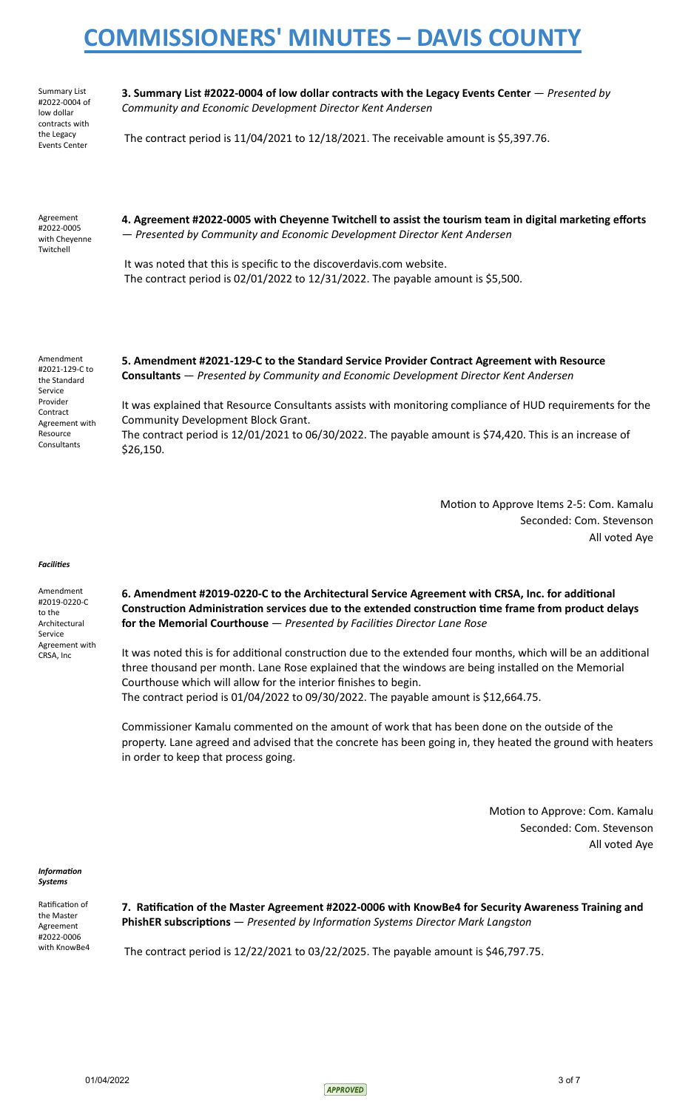Summary List #2022-0004 of low dollar contracts with the Legacy Events Center

 **3. Summary List #2022-0004 of low dollar contracts with the Legacy Events Center** — *Presented by Community and Economic Development Director Kent Andersen*

The contract period is 11/04/2021 to 12/18/2021. The receivable amount is \$5,397.76.

 Agreement #2022-0005 with Cheyenne Twitchell

4. Agreement #2022-0005 with Cheyenne Twitchell to assist the tourism team in digital marketing efforts — *Presented by Community and Economic Development Director Kent Andersen*

 It was noted that this is specific to the discoverdavis.com website. The contract period is 02/01/2022 to 12/31/2022. The payable amount is \$5,500.

 Amendment #2021-129-C to the Standard Service Provider **Contract**  Agreement with Resource Consultants

 **5. Amendment #2021-129-C to the Standard Service Provider Contract Agreement with Resource Consultants** — *Presented by Community and Economic Development Director Kent Andersen*

 It was explained that Resource Consultants assists with monitoring compliance of HUD requirements for the Community Development Block Grant.

 The contract period is 12/01/2021 to 06/30/2022. The payable amount is \$74,420. This is an increase of \$26,150.

> Motion to Approve Items 2-5: Com. Kamalu Seconded: Com. Stevenson All voted Aye

#### *Facilies*

 Amendment #2019-0220-C to the Architectural Service Agreement with CRSA, Inc

6. Amendment #2019-0220-C to the Architectural Service Agreement with CRSA, Inc. for additional **Construction Administration services due to the extended construction time frame from product delays** for the Memorial Courthouse - Presented by Facilities Director Lane Rose

It was noted this is for additional construction due to the extended four months, which will be an additional three thousand per month. Lane Rose explained that the windows are being installed on the Memorial Courthouse which will allow for the interior finishes to begin. The contract period is 01/04/2022 to 09/30/2022. The payable amount is \$12,664.75.

 Commissioner Kamalu commented on the amount of work that has been done on the outside of the property. Lane agreed and advised that the concrete has been going in, they heated the ground with heaters in order to keep that process going.

> Motion to Approve: Com. Kamalu Seconded: Com. Stevenson All voted Aye

### *Information Systems*

Ratification of the Master Agreement #2022-0006 with KnowBe4

7. Ratification of the Master Agreement #2022-0006 with KnowBe4 for Security Awareness Training and **PhishER subscriptions**  $-$  *Presented by Information Systems Director Mark Langston* 

The contract period is 12/22/2021 to 03/22/2025. The payable amount is \$46,797.75.

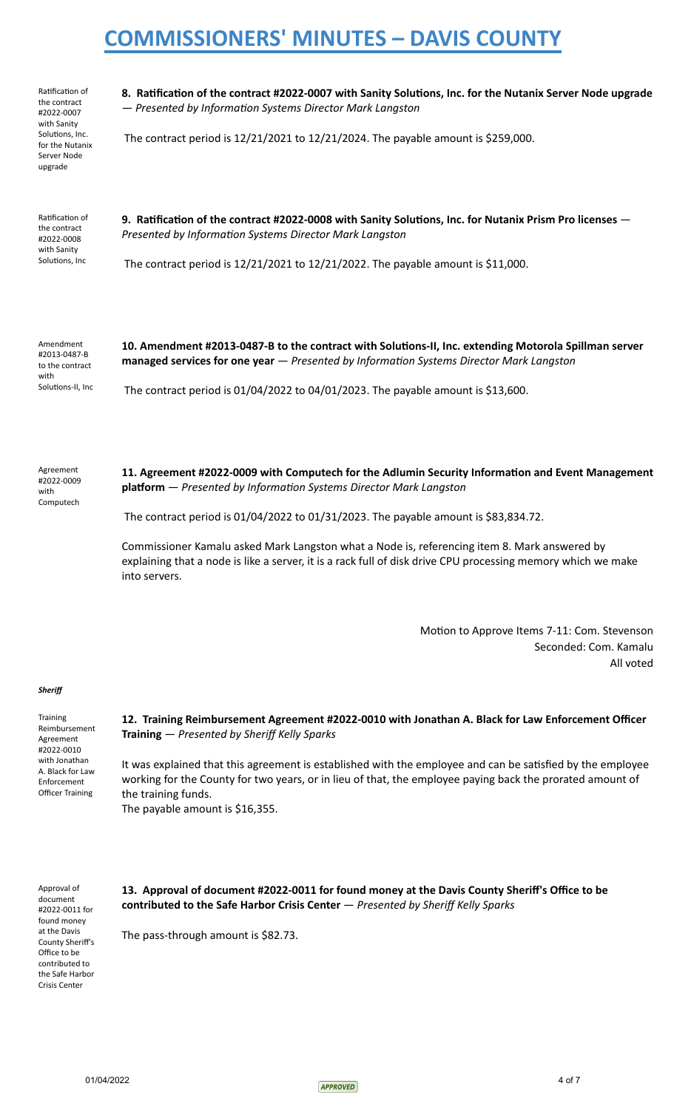Ratification of the contract #2022-0007 with Sanity Solutions, Inc. for the Nutanix Server Node upgrade

8. Ratification of the contract #2022-0007 with Sanity Solutions, Inc. for the Nutanix Server Node upgrade  $-$  Presented by Information Systems Director Mark Langston

The contract period is 12/21/2021 to 12/21/2024. The payable amount is \$259,000.

Ratification of the contract #2022-0008 with Sanity Solutions, Inc

9. Ratification of the contract #2022-0008 with Sanity Solutions, Inc. for Nutanix Prism Pro licenses -**Presented by Information Systems Director Mark Langston** 

The contract period is 12/21/2021 to 12/21/2022. The payable amount is \$11,000.

 Amendment #2013-0487-B to the contract with Solutions-II, Inc 10. Amendment #2013-0487-B to the contract with Solutions-II, Inc. extending Motorola Spillman server  **managed services for one year**  $-$  *Presented by Information Systems Director Mark Langston* 

The contract period is 01/04/2022 to 04/01/2023. The payable amount is \$13,600.

 Agreement #2022-0009 with Computech

11. Agreement #2022-0009 with Computech for the Adlumin Security Information and Event Management **platform** - Presented by Information Systems Director Mark Langston

The contract period is 01/04/2022 to 01/31/2023. The payable amount is \$83,834.72.

 Commissioner Kamalu asked Mark Langston what a Node is, referencing item 8. Mark answered by explaining that a node is like a server, it is a rack full of disk drive CPU processing memory which we make into servers.

> Motion to Approve Items 7-11: Com. Stevenson Seconded: Com. Kamalu All voted

### *Sheriff*

**Training**  Reimbursement Agreement #2022-0010 with Jonathan A. Black for Law Enforcement Officer Training

 **12. Training Reimbursement Agreement #2022-0010 with Jonathan A. Black for Law Enforcement Officer Training** — *Presented by Sheriff Kelly Sparks*

It was explained that this agreement is established with the employee and can be satisfied by the employee working for the County for two years, or in lieu of that, the employee paying back the prorated amount of the training funds.

The payable amount is \$16,355.

 Approval of document #2022-0011 for found money at the Davis County Sheriff's Office to be contributed to the Safe Harbor Crisis Center

 **13. Approval of document #2022-0011 for found money at the Davis County Sheriff's Office to be contributed to the Safe Harbor Crisis Center** — *Presented by Sheriff Kelly Sparks*

The pass-through amount is \$82.73.

 $01/04/2022$  4 of 7

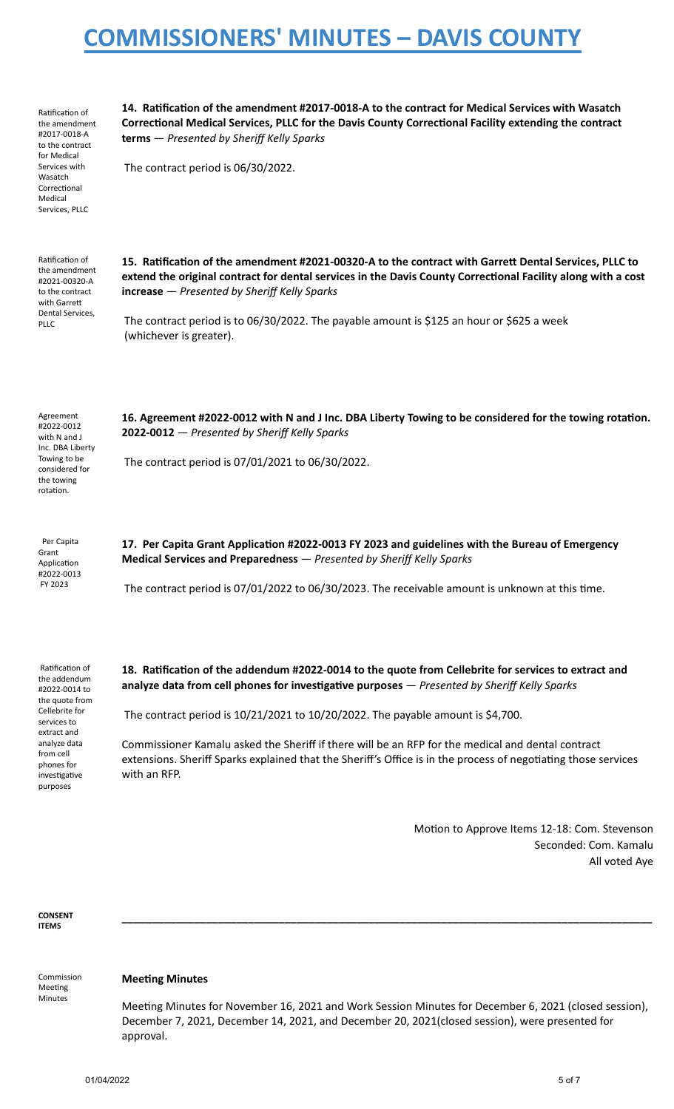| Ratification of<br>the amendment<br>#2017-0018-A<br>to the contract<br>for Medical<br>Services with<br>Wasatch<br>Correctional<br>Medical<br>Services, PLLC | 14. Ratification of the amendment #2017-0018-A to the contract for Medical Services with Wasatch<br>Correctional Medical Services, PLLC for the Davis County Correctional Facility extending the contract<br>terms - Presented by Sheriff Kelly Sparks<br>The contract period is 06/30/2022.                                                                                                    |
|-------------------------------------------------------------------------------------------------------------------------------------------------------------|-------------------------------------------------------------------------------------------------------------------------------------------------------------------------------------------------------------------------------------------------------------------------------------------------------------------------------------------------------------------------------------------------|
| Ratification of<br>the amendment<br>#2021-00320-A<br>to the contract<br>with Garrett<br>Dental Services,<br><b>PLLC</b>                                     | 15. Ratification of the amendment #2021-00320-A to the contract with Garrett Dental Services, PLLC to<br>extend the original contract for dental services in the Davis County Correctional Facility along with a cost<br>$increase - presented by Sheriff Kelly Sparks$<br>The contract period is to 06/30/2022. The payable amount is \$125 an hour or \$625 a week<br>(whichever is greater). |
| Agreement<br>#2022-0012<br>with N and J<br>Inc. DBA Liberty<br>Towing to be<br>considered for<br>the towing<br>rotation.                                    | 16. Agreement #2022-0012 with N and J Inc. DBA Liberty Towing to be considered for the towing rotation.<br>2022-0012 - Presented by Sheriff Kelly Sparks<br>The contract period is 07/01/2021 to 06/30/2022.                                                                                                                                                                                    |
| Per Capita<br>Grant<br>Application<br>#2022-0013<br>FY 2023                                                                                                 | 17. Per Capita Grant Application #2022-0013 FY 2023 and guidelines with the Bureau of Emergency<br>Medical Services and Preparedness - Presented by Sheriff Kelly Sparks<br>The contract period is 07/01/2022 to 06/30/2023. The receivable amount is unknown at this time.                                                                                                                     |
| Ratification of<br>the addendum<br>#2022-0014 to                                                                                                            | 18. Ratification of the addendum #2022-0014 to the quote from Cellebrite for services to extract and<br>analyze data from cell phones for investigative purposes - Presented by Sheriff Kelly Sparks                                                                                                                                                                                            |

 #2022-0014 to the quote from Cellebrite for services to extract and analyze data from cell phones for investigative purposes

The contract period is 10/21/2021 to 10/20/2022. The payable amount is \$4,700.

 Commissioner Kamalu asked the Sheriff if there will be an RFP for the medical and dental contract extensions. Sheriff Sparks explained that the Sheriff's Office is in the process of negotiating those services with an RFP.

> Motion to Approve Items 12-18: Com. Stevenson Seconded: Com. Kamalu All voted Aye

 **CONSENT ITEMS** 

 Commission Meeting Minutes

### **Meeting Minutes**

Meeting Minutes for November 16, 2021 and Work Session Minutes for December 6, 2021 (closed session), December 7, 2021, December 14, 2021, and December 20, 2021(closed session), were presented for approval.

**\_\_\_\_\_\_\_\_\_\_\_\_\_\_\_\_\_\_\_\_\_\_\_\_\_\_\_\_\_\_\_\_\_\_\_\_\_\_\_\_\_\_\_\_\_\_\_\_\_\_\_\_\_\_\_\_\_\_\_\_\_\_\_\_\_\_\_\_\_\_\_\_\_\_\_\_\_\_\_\_\_\_\_\_\_\_\_\_**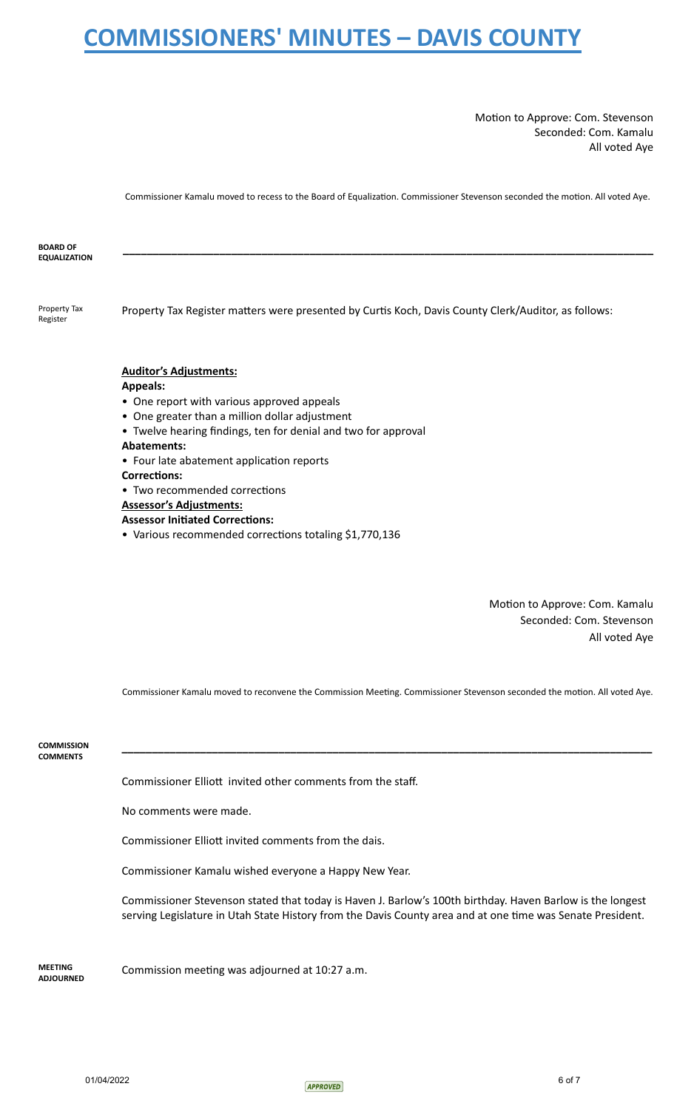Motion to Approve: Com. Stevenson Seconded: Com. Kamalu All voted Aye

Commissioner Kamalu moved to recess to the Board of Equalization. Commissioner Stevenson seconded the motion. All voted Aye.

| <b>BOARD OF</b><br><b>EQUALIZATION</b> |                                                                                                      |
|----------------------------------------|------------------------------------------------------------------------------------------------------|
| Property Tax<br>Register               | Property Tax Register matters were presented by Curtis Koch, Davis County Clerk/Auditor, as follows: |
|                                        | <b>Auditor's Adjustments:</b>                                                                        |
|                                        | <b>Appeals:</b>                                                                                      |
|                                        | • One report with various approved appeals                                                           |
|                                        | • One greater than a million dollar adjustment                                                       |
|                                        | • Twelve hearing findings, ten for denial and two for approval                                       |
|                                        | <b>Abatements:</b>                                                                                   |
|                                        | • Four late abatement application reports                                                            |
|                                        | <b>Corrections:</b>                                                                                  |
|                                        | • Two recommended corrections                                                                        |
|                                        | <b>Assessor's Adjustments:</b>                                                                       |
|                                        | <b>Assessor Initiated Corrections:</b>                                                               |
|                                        | • Various recommended corrections totaling \$1,770,136                                               |

Motion to Approve: Com. Kamalu Seconded: Com. Stevenson All voted Aye

Commissioner Kamalu moved to reconvene the Commission Meeting. Commissioner Stevenson seconded the motion. All voted Aye.

**\_\_\_\_\_\_\_\_\_\_\_\_\_\_\_\_\_\_\_\_\_\_\_\_\_\_\_\_\_\_\_\_\_\_\_\_\_\_\_\_\_\_\_\_\_\_\_\_\_\_\_\_\_\_\_\_\_\_\_\_\_\_\_\_\_\_\_\_\_\_\_\_\_\_\_\_\_\_\_\_\_\_\_\_\_\_\_\_** 

 **COMMISSION COMMENTS** 

Commissioner Elliott invited other comments from the staff.

No comments were made.

Commissioner Elliott invited comments from the dais.

Commissioner Kamalu wished everyone a Happy New Year.

 Commissioner Stevenson stated that today is Haven J. Barlow's 100th birthday. Haven Barlow is the longest serving Legislature in Utah State History from the Davis County area and at one time was Senate President.

 **MEETING ADJOURNED**  Commission meeting was adjourned at 10:27 a.m.